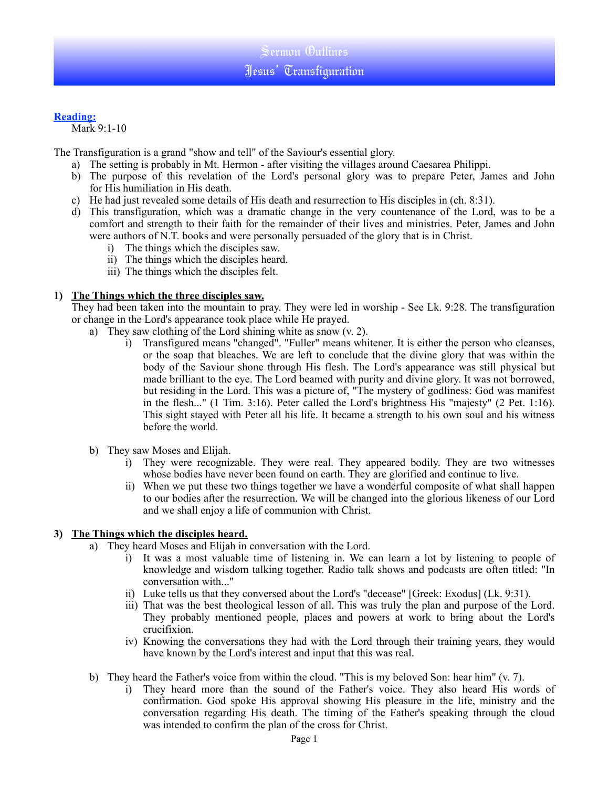### **Reading:**

Mark 9:1-10

The Transfiguration is a grand "show and tell" of the Saviour's essential glory.

- a) The setting is probably in Mt. Hermon after visiting the villages around Caesarea Philippi.
- b) The purpose of this revelation of the Lord's personal glory was to prepare Peter, James and John for His humiliation in His death.
- c) He had just revealed some details of His death and resurrection to His disciples in (ch. 8:31).
- d) This transfiguration, which was a dramatic change in the very countenance of the Lord, was to be a comfort and strength to their faith for the remainder of their lives and ministries. Peter, James and John were authors of N.T. books and were personally persuaded of the glory that is in Christ.
	- i) The things which the disciples saw.
	- ii) The things which the disciples heard.
	- iii) The things which the disciples felt.

#### **1) The Things which the three disciples saw.**

They had been taken into the mountain to pray. They were led in worship - See Lk. 9:28. The transfiguration or change in the Lord's appearance took place while He prayed.

- a) They saw clothing of the Lord shining white as snow (v. 2).
	- i) Transfigured means "changed". "Fuller" means whitener. It is either the person who cleanses, or the soap that bleaches. We are left to conclude that the divine glory that was within the body of the Saviour shone through His flesh. The Lord's appearance was still physical but made brilliant to the eye. The Lord beamed with purity and divine glory. It was not borrowed, but residing in the Lord. This was a picture of, "The mystery of godliness: God was manifest in the flesh..." (1 Tim. 3:16). Peter called the Lord's brightness His "majesty" (2 Pet. 1:16). This sight stayed with Peter all his life. It became a strength to his own soul and his witness before the world.
- b) They saw Moses and Elijah.
	- i) They were recognizable. They were real. They appeared bodily. They are two witnesses whose bodies have never been found on earth. They are glorified and continue to live.
	- ii) When we put these two things together we have a wonderful composite of what shall happen to our bodies after the resurrection. We will be changed into the glorious likeness of our Lord and we shall enjoy a life of communion with Christ.

### **3) The Things which the disciples heard.**

- a) They heard Moses and Elijah in conversation with the Lord.
	- i) It was a most valuable time of listening in. We can learn a lot by listening to people of knowledge and wisdom talking together. Radio talk shows and podcasts are often titled: "In conversation with..."
	- ii) Luke tells us that they conversed about the Lord's "decease" [Greek: Exodus] (Lk. 9:31).
	- iii) That was the best theological lesson of all. This was truly the plan and purpose of the Lord. They probably mentioned people, places and powers at work to bring about the Lord's crucifixion.
	- iv) Knowing the conversations they had with the Lord through their training years, they would have known by the Lord's interest and input that this was real.
- b) They heard the Father's voice from within the cloud. "This is my beloved Son: hear him" (v. 7).
	- i) They heard more than the sound of the Father's voice. They also heard His words of confirmation. God spoke His approval showing His pleasure in the life, ministry and the conversation regarding His death. The timing of the Father's speaking through the cloud was intended to confirm the plan of the cross for Christ.